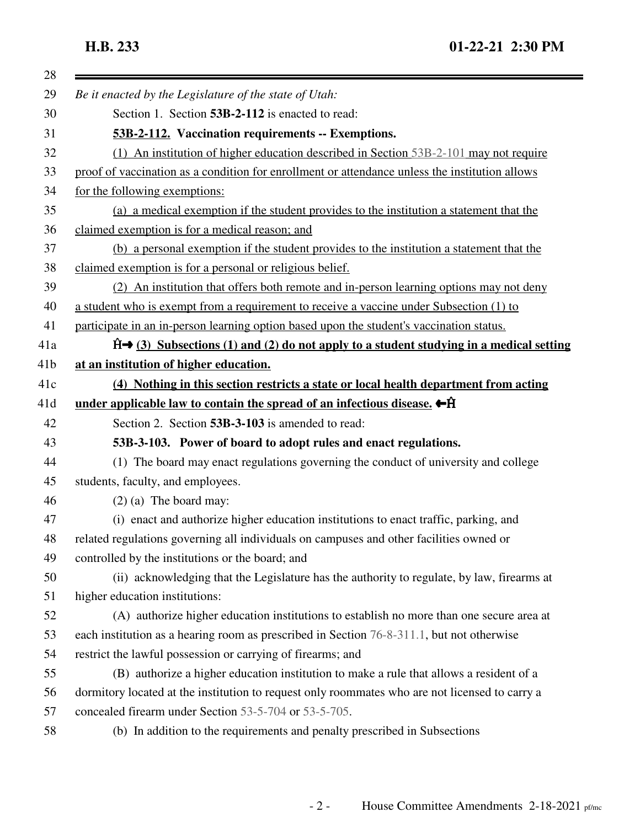| 28  |                                                                                                |
|-----|------------------------------------------------------------------------------------------------|
| 29  | Be it enacted by the Legislature of the state of Utah:                                         |
| 30  | Section 1. Section 53B-2-112 is enacted to read:                                               |
| 31  | 53B-2-112. Vaccination requirements -- Exemptions.                                             |
| 32  | (1) An institution of higher education described in Section 53B-2-101 may not require          |
| 33  | proof of vaccination as a condition for enrollment or attendance unless the institution allows |
| 34  | for the following exemptions:                                                                  |
| 35  | (a) a medical exemption if the student provides to the institution a statement that the        |
| 36  | claimed exemption is for a medical reason; and                                                 |
| 37  | (b) a personal exemption if the student provides to the institution a statement that the       |
| 38  | claimed exemption is for a personal or religious belief.                                       |
| 39  | (2) An institution that offers both remote and in-person learning options may not deny         |
| 40  | a student who is exempt from a requirement to receive a vaccine under Subsection (1) to        |
| 41  | participate in an in-person learning option based upon the student's vaccination status.       |
| 41a | $\hat{H}$ (3) Subsections (1) and (2) do not apply to a student studying in a medical setting  |
| 41b | at an institution of higher education.                                                         |
| 41c | (4) Nothing in this section restricts a state or local health department from acting           |
| 41d | under applicable law to contain the spread of an infectious disease. $\leftarrow$ $\hat{H}$    |
| 42  | Section 2. Section 53B-3-103 is amended to read:                                               |
| 43  | 53B-3-103. Power of board to adopt rules and enact regulations.                                |
| 44  | (1) The board may enact regulations governing the conduct of university and college            |
| 45  | students, faculty, and employees.                                                              |
| 46  | $(2)$ (a) The board may:                                                                       |
| 47  | (i) enact and authorize higher education institutions to enact traffic, parking, and           |
| 48  | related regulations governing all individuals on campuses and other facilities owned or        |
| 49  | controlled by the institutions or the board; and                                               |
| 50  | (ii) acknowledging that the Legislature has the authority to regulate, by law, firearms at     |
| 51  | higher education institutions:                                                                 |
| 52  | (A) authorize higher education institutions to establish no more than one secure area at       |
| 53  | each institution as a hearing room as prescribed in Section 76-8-311.1, but not otherwise      |
| 54  | restrict the lawful possession or carrying of firearms; and                                    |
| 55  | (B) authorize a higher education institution to make a rule that allows a resident of a        |
| 56  | dormitory located at the institution to request only roommates who are not licensed to carry a |
| 57  | concealed firearm under Section 53-5-704 or 53-5-705.                                          |
| 58  | (b) In addition to the requirements and penalty prescribed in Subsections                      |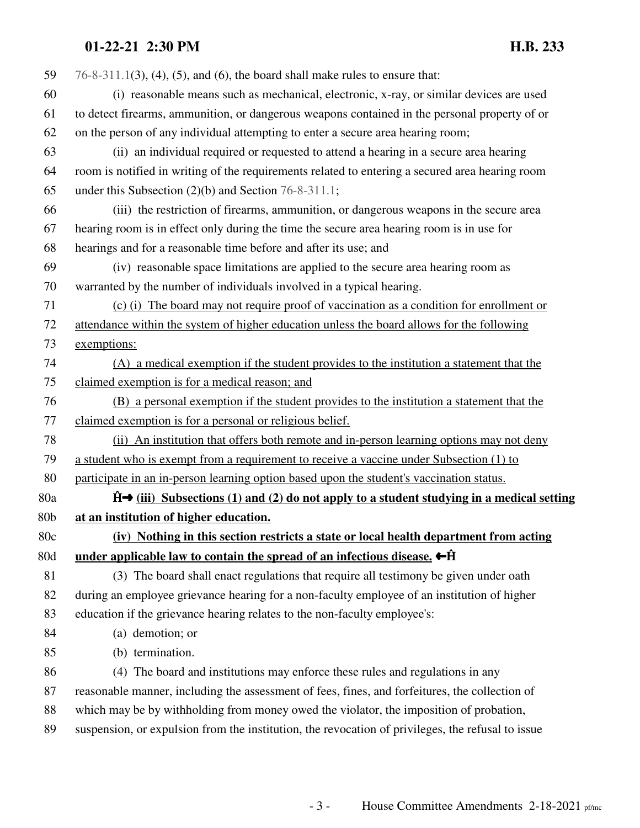## **01-22-21 2:30 PM H.B. 233**

| 59  | $76-8-311.1(3)$ , (4), (5), and (6), the board shall make rules to ensure that:                   |
|-----|---------------------------------------------------------------------------------------------------|
| 60  | (i) reasonable means such as mechanical, electronic, x-ray, or similar devices are used           |
| 61  | to detect firearms, ammunition, or dangerous weapons contained in the personal property of or     |
| 62  | on the person of any individual attempting to enter a secure area hearing room;                   |
| 63  | (ii) an individual required or requested to attend a hearing in a secure area hearing             |
| 64  | room is notified in writing of the requirements related to entering a secured area hearing room   |
| 65  | under this Subsection $(2)(b)$ and Section 76-8-311.1;                                            |
| 66  | (iii) the restriction of firearms, ammunition, or dangerous weapons in the secure area            |
| 67  | hearing room is in effect only during the time the secure area hearing room is in use for         |
| 68  | hearings and for a reasonable time before and after its use; and                                  |
| 69  | (iv) reasonable space limitations are applied to the secure area hearing room as                  |
| 70  | warranted by the number of individuals involved in a typical hearing.                             |
| 71  | (c) (i) The board may not require proof of vaccination as a condition for enrollment or           |
| 72  | attendance within the system of higher education unless the board allows for the following        |
| 73  | exemptions:                                                                                       |
| 74  | (A) a medical exemption if the student provides to the institution a statement that the           |
| 75  | claimed exemption is for a medical reason; and                                                    |
| 76  | (B) a personal exemption if the student provides to the institution a statement that the          |
| 77  | claimed exemption is for a personal or religious belief.                                          |
| 78  | (ii) An institution that offers both remote and in-person learning options may not deny           |
| 79  | a student who is exempt from a requirement to receive a vaccine under Subsection (1) to           |
| 80  | participate in an in-person learning option based upon the student's vaccination status.          |
| 80a | $\hat{H}$ (iii) Subsections (1) and (2) do not apply to a student studying in a medical setting   |
| 80b | at an institution of higher education.                                                            |
| 80c | (iv) Nothing in this section restricts a state or local health department from acting             |
| 80d | under applicable law to contain the spread of an infectious disease. $\leftarrow$ $\hat{H}$       |
| 81  | (3) The board shall enact regulations that require all testimony be given under oath              |
| 82  | during an employee grievance hearing for a non-faculty employee of an institution of higher       |
| 83  | education if the grievance hearing relates to the non-faculty employee's:                         |
| 84  | (a) demotion; or                                                                                  |
| 85  | (b) termination.                                                                                  |
| 86  | (4) The board and institutions may enforce these rules and regulations in any                     |
| 87  | reasonable manner, including the assessment of fees, fines, and forfeitures, the collection of    |
| 88  | which may be by withholding from money owed the violator, the imposition of probation,            |
| 89  | suspension, or expulsion from the institution, the revocation of privileges, the refusal to issue |